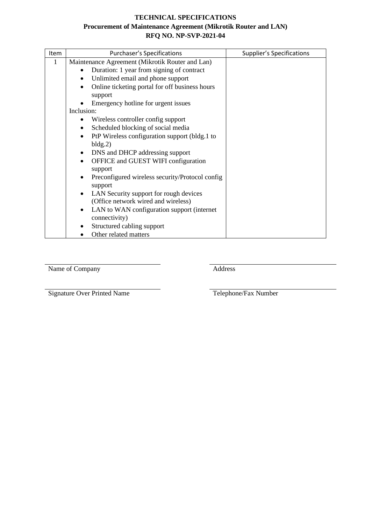# **TECHNICAL SPECIFICATIONS**

## **Procurement of Maintenance Agreement (Mikrotik Router and LAN) RFQ NO. NP-SVP-2021-04**

| <b>Item</b> | <b>Purchaser's Specifications</b>                           | <b>Supplier's Specifications</b> |
|-------------|-------------------------------------------------------------|----------------------------------|
| 1           | Maintenance Agreement (Mikrotik Router and Lan)             |                                  |
|             | Duration: 1 year from signing of contract                   |                                  |
|             | Unlimited email and phone support<br>$\bullet$              |                                  |
|             | Online ticketing portal for off business hours<br>$\bullet$ |                                  |
|             | support                                                     |                                  |
|             | Emergency hotline for urgent issues                         |                                  |
|             | Inclusion:                                                  |                                  |
|             | Wireless controller config support                          |                                  |
|             | Scheduled blocking of social media<br>$\bullet$             |                                  |
|             | PtP Wireless configuration support (bldg.1 to<br>$\bullet$  |                                  |
|             | bldg.2)                                                     |                                  |
|             | DNS and DHCP addressing support<br>$\bullet$                |                                  |
|             | OFFICE and GUEST WIFI configuration<br>$\bullet$<br>support |                                  |
|             | Preconfigured wireless security/Protocol config             |                                  |
|             | support                                                     |                                  |
|             | LAN Security support for rough devices                      |                                  |
|             | (Office network wired and wireless)                         |                                  |
|             | LAN to WAN configuration support (internet)<br>$\bullet$    |                                  |
|             | connectivity)                                               |                                  |
|             | Structured cabling support                                  |                                  |
|             | Other related matters                                       |                                  |

Name of Company Address

Signature Over Printed Name Telephone/Fax Number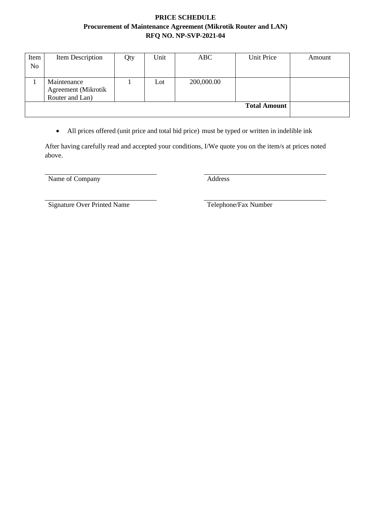## **PRICE SCHEDULE Procurement of Maintenance Agreement (Mikrotik Router and LAN) RFQ NO. NP-SVP-2021-04**

| Item           | Item Description           | Qty | Unit | ABC        | Unit Price | Amount |
|----------------|----------------------------|-----|------|------------|------------|--------|
| N <sub>o</sub> |                            |     |      |            |            |        |
|                |                            |     |      |            |            |        |
|                | Maintenance                |     | Lot  | 200,000.00 |            |        |
|                | <b>Agreement</b> (Mikrotik |     |      |            |            |        |
|                | Router and Lan)            |     |      |            |            |        |
|                |                            |     |      |            |            |        |
|                |                            |     |      |            |            |        |

• All prices offered (unit price and total bid price) must be typed or written in indelible ink

After having carefully read and accepted your conditions, I/We quote you on the item/s at prices noted above.

Name of Company Address

Signature Over Printed Name Telephone/Fax Number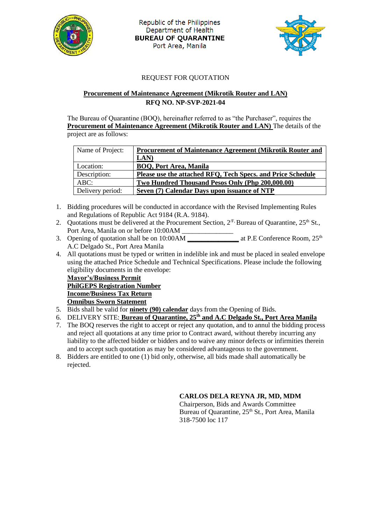

Republic of the Philippines Department of Health **BUREAU OF QUARANTINE** Port Area, Manila



#### REQUEST FOR QUOTATION

#### **Procurement of Maintenance Agreement (Mikrotik Router and LAN) RFQ NO. NP-SVP-2021-04**

The Bureau of Quarantine (BOQ), hereinafter referred to as "the Purchaser", requires the **Procurement of Maintenance Agreement (Mikrotik Router and LAN)** The details of the project are as follows:

| Name of Project: | <b>Procurement of Maintenance Agreement (Mikrotik Router and</b> |  |  |
|------------------|------------------------------------------------------------------|--|--|
|                  | LAN)                                                             |  |  |
| Location:        | <b>BOQ, Port Area, Manila</b>                                    |  |  |
| Description:     | Please use the attached RFQ, Tech Specs. and Price Schedule      |  |  |
| $ABC$ :          | Two Hundred Thousand Pesos Only (Php 200,000.00)                 |  |  |
| Delivery period: | Seven (7) Calendar Days upon issuance of NTP                     |  |  |

- 1. Bidding procedures will be conducted in accordance with the Revised Implementing Rules and Regulations of Republic Act 9184 (R.A. 9184).
- 2. Quotations must be delivered at the Procurement Section,  $2^{F}$ , Bureau of Quarantine,  $25^{th}$  St., Port Area, Manila on or before 10:00AM \_\_\_\_\_\_\_\_\_\_\_\_\_\_\_
- 3. Opening of quotation shall be on 10:00AM **\_\_\_\_\_\_\_\_\_\_\_\_\_\_\_** at P.E Conference Room, 25th A.C Delgado St., Port Area Manila
- 4. All quotations must be typed or written in indelible ink and must be placed in sealed envelope using the attached Price Schedule and Technical Specifications. Please include the following eligibility documents in the envelope:

**Mayor's/Business Permit PhilGEPS Registration Number Income/Business Tax Return Omnibus Sworn Statement**

- 5. Bids shall be valid for **ninety (90) calendar** days from the Opening of Bids.
- 6. DELIVERY SITE: **Bureau of Quarantine, 25th and A.C Delgado St., Port Area Manila**
- 7. The BOQ reserves the right to accept or reject any quotation, and to annul the bidding process and reject all quotations at any time prior to Contract award, without thereby incurring any liability to the affected bidder or bidders and to waive any minor defects or infirmities therein and to accept such quotation as may be considered advantageous to the government.
- 8. Bidders are entitled to one (1) bid only, otherwise, all bids made shall automatically be rejected.

#### **CARLOS DELA REYNA JR, MD, MDM**

Chairperson, Bids and Awards Committee Bureau of Quarantine, 25<sup>th</sup> St., Port Area, Manila 318-7500 loc 117